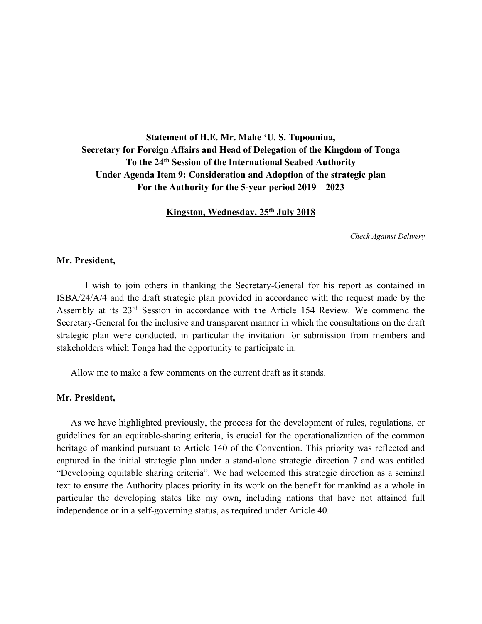**Statement of H.E. Mr. Mahe 'U. S. Tupouniua, Secretary for Foreign Affairs and Head of Delegation of the Kingdom of Tonga To the 24th Session of the International Seabed Authority Under Agenda Item 9: Consideration and Adoption of the strategic plan For the Authority for the 5-year period 2019 – 2023**

**Kingston, Wednesday, 25th July 2018**

*Check Against Delivery*

# **Mr. President,**

I wish to join others in thanking the Secretary-General for his report as contained in ISBA/24/A/4 and the draft strategic plan provided in accordance with the request made by the Assembly at its 23rd Session in accordance with the Article 154 Review. We commend the Secretary-General for the inclusive and transparent manner in which the consultations on the draft strategic plan were conducted, in particular the invitation for submission from members and stakeholders which Tonga had the opportunity to participate in.

Allow me to make a few comments on the current draft as it stands.

#### **Mr. President,**

As we have highlighted previously, the process for the development of rules, regulations, or guidelines for an equitable-sharing criteria, is crucial for the operationalization of the common heritage of mankind pursuant to Article 140 of the Convention. This priority was reflected and captured in the initial strategic plan under a stand-alone strategic direction 7 and was entitled "Developing equitable sharing criteria". We had welcomed this strategic direction as a seminal text to ensure the Authority places priority in its work on the benefit for mankind as a whole in particular the developing states like my own, including nations that have not attained full independence or in a self-governing status, as required under Article 40.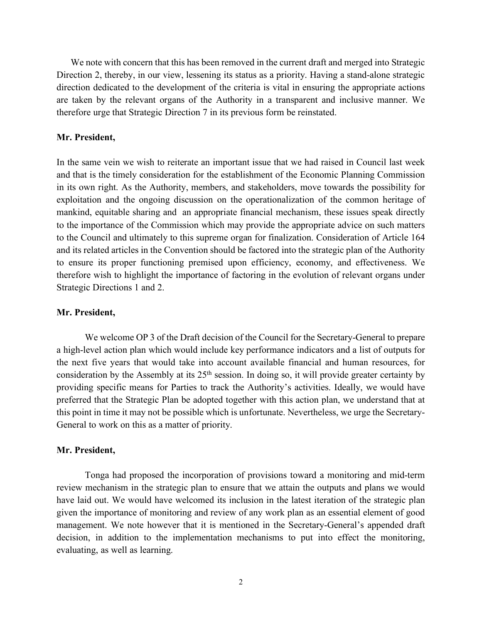We note with concern that this has been removed in the current draft and merged into Strategic Direction 2, thereby, in our view, lessening its status as a priority. Having a stand-alone strategic direction dedicated to the development of the criteria is vital in ensuring the appropriate actions are taken by the relevant organs of the Authority in a transparent and inclusive manner. We therefore urge that Strategic Direction 7 in its previous form be reinstated.

#### **Mr. President,**

In the same vein we wish to reiterate an important issue that we had raised in Council last week and that is the timely consideration for the establishment of the Economic Planning Commission in its own right. As the Authority, members, and stakeholders, move towards the possibility for exploitation and the ongoing discussion on the operationalization of the common heritage of mankind, equitable sharing and an appropriate financial mechanism, these issues speak directly to the importance of the Commission which may provide the appropriate advice on such matters to the Council and ultimately to this supreme organ for finalization. Consideration of Article 164 and its related articles in the Convention should be factored into the strategic plan of the Authority to ensure its proper functioning premised upon efficiency, economy, and effectiveness. We therefore wish to highlight the importance of factoring in the evolution of relevant organs under Strategic Directions 1 and 2.

# **Mr. President,**

We welcome OP 3 of the Draft decision of the Council for the Secretary-General to prepare a high-level action plan which would include key performance indicators and a list of outputs for the next five years that would take into account available financial and human resources, for consideration by the Assembly at its  $25<sup>th</sup>$  session. In doing so, it will provide greater certainty by providing specific means for Parties to track the Authority's activities. Ideally, we would have preferred that the Strategic Plan be adopted together with this action plan, we understand that at this point in time it may not be possible which is unfortunate. Nevertheless, we urge the Secretary-General to work on this as a matter of priority.

### **Mr. President,**

Tonga had proposed the incorporation of provisions toward a monitoring and mid-term review mechanism in the strategic plan to ensure that we attain the outputs and plans we would have laid out. We would have welcomed its inclusion in the latest iteration of the strategic plan given the importance of monitoring and review of any work plan as an essential element of good management. We note however that it is mentioned in the Secretary-General's appended draft decision, in addition to the implementation mechanisms to put into effect the monitoring, evaluating, as well as learning.